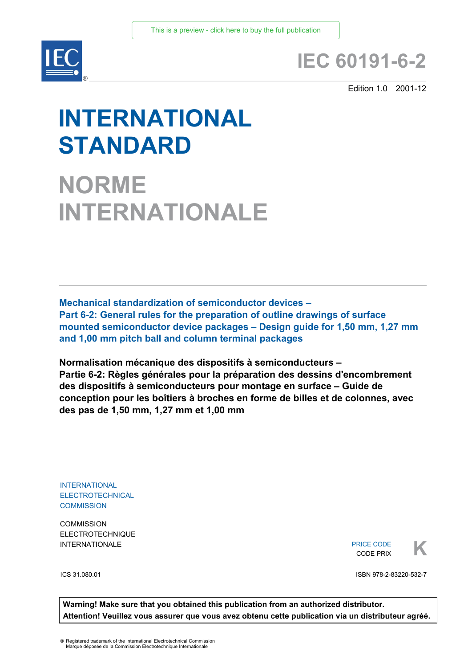

## **IEC 60191-6-2**

Edition 1.0 2001-12

# **INTERNATIONAL STANDARD**

**NORME INTERNATIONALE**

**Mechanical standardization of semiconductor devices – Part 6-2: General rules for the preparation of outline drawings of surface mounted semiconductor device packages – Design guide for 1,50 mm, 1,27 mm and 1,00 mm pitch ball and column terminal packages**

**Normalisation mécanique des dispositifs à semiconducteurs – Partie 6-2: Règles générales pour la préparation des dessins d'encombrement des dispositifs à semiconducteurs pour montage en surface – Guide de conception pour les boîtiers à broches en forme de billes et de colonnes, avec des pas de 1,50 mm, 1,27 mm et 1,00 mm**

INTERNATIONAL ELECTROTECHNICAL **COMMISSION** 

**COMMISSION** ELECTROTECHNIQUE

INTERNATIONALE PRICE CODE PRIX PRICE CODE CODE PRIX



ICS 31.080.01

ISBN 978-2-83220-532-7

**Warning! Make sure that you obtained this publication from an authorized distributor. Attention! Veuillez vous assurer que vous avez obtenu cette publication via un distributeur agréé.**

® Registered trademark of the International Electrotechnical Commission Marque déposée de la Commission Electrotechnique Internationale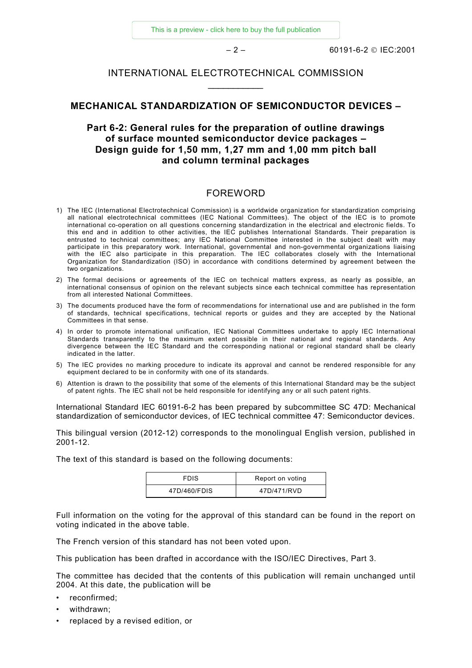#### INTERNATIONAL ELECTROTECHNICAL COMMISSION *\_\_\_\_\_\_\_\_\_\_\_*

#### **MECHANICAL STANDARDIZATION OF SEMICONDUCTOR DEVICES –**

#### **Part 6-2: General rules for the preparation of outline drawings of surface mounted semiconductor device packages – Design guide for 1,50 mm, 1,27 mm and 1,00 mm pitch ball and column terminal packages**

#### FOREWORD

- 1) The IEC (International Electrotechnical Commission) is a worldwide organization for standardization comprising all national electrotechnical committees (IEC National Committees). The object of the IEC is to promote international co-operation on all questions concerning standardization in the electrical and electronic fields. To this end and in addition to other activities, the IEC publishes International Standards. Their preparation is entrusted to technical committees; any IEC National Committee interested in the subject dealt with may participate in this preparatory work. International, governmental and non-governmental organizations liaising with the IEC also participate in this preparation. The IEC collaborates closely with the International Organization for Standardization (ISO) in accordance with conditions determined by agreement between the two organizations.
- 2) The formal decisions or agreements of the IEC on technical matters express, as nearly as possible, an international consensus of opinion on the relevant subjects since each technical committee has representation from all interested National Committees.
- 3) The documents produced have the form of recommendations for international use and are published in the form of standards, technical specifications, technical reports or guides and they are accepted by the National Committees in that sense.
- 4) In order to promote international unification, IEC National Committees undertake to apply IEC International Standards transparently to the maximum extent possible in their national and regional standards. Any divergence between the IEC Standard and the corresponding national or regional standard shall be clearly indicated in the latter.
- 5) The IEC provides no marking procedure to indicate its approval and cannot be rendered responsible for any equipment declared to be in conformity with one of its standards.
- 6) Attention is drawn to the possibility that some of the elements of this International Standard may be the subject of patent rights. The IEC shall not be held responsible for identifying any or all such patent rights.

International Standard IEC 60191-6-2 has been prepared by subcommittee SC 47D: Mechanical standardization of semiconductor devices, of IEC technical committee 47: Semiconductor devices.

This bilingual version (2012-12) corresponds to the monolingual English version, published in 2001-12.

The text of this standard is based on the following documents:

| <b>FDIS</b>  | Report on voting |
|--------------|------------------|
| 47D/460/FDIS | 47D/471/RVD      |

Full information on the voting for the approval of this standard can be found in the report on voting indicated in the above table.

The French version of this standard has not been voted upon.

This publication has been drafted in accordance with the ISO/IEC Directives, Part 3.

The committee has decided that the contents of this publication will remain unchanged until 2004. At this date, the publication will be

- reconfirmed;
- withdrawn;
- replaced by a revised edition, or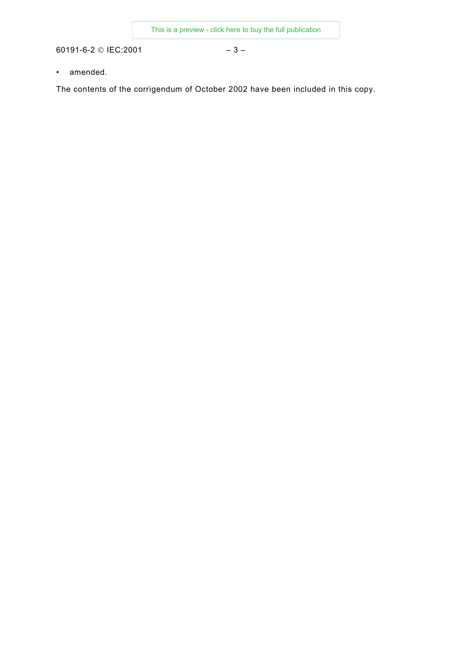$60191-6-2$  © IEC:2001 – 3 –

• amended.

The contents of the corrigendum of October 2002 have been included in this copy.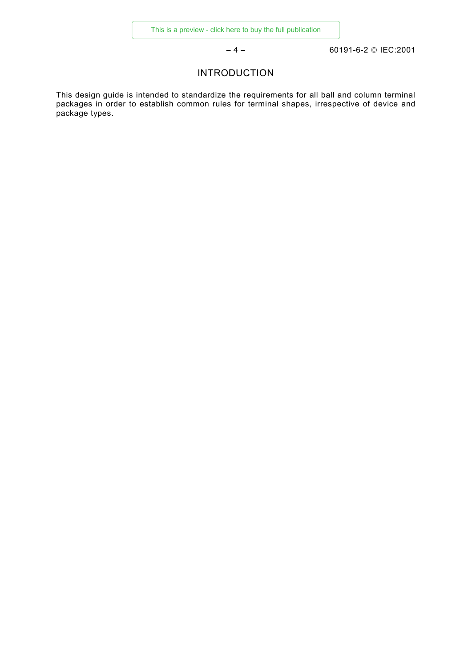– 4 – 60191-6-2 IEC:2001

#### INTRODUCTION

This design guide is intended to standardize the requirements for all ball and column terminal packages in order to establish common rules for terminal shapes, irrespective of device and package types.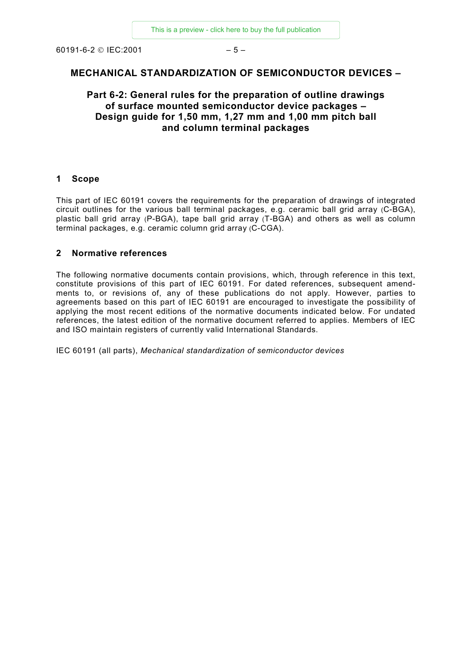60191-6-2 © IEC:2001 – 5 –

#### **MECHANICAL STANDARDIZATION OF SEMICONDUCTOR DEVICES –**

#### **Part 6-2: General rules for the preparation of outline drawings of surface mounted semiconductor device packages – Design guide for 1,50 mm, 1,27 mm and 1,00 mm pitch ball and column terminal packages**

#### **1 Scope**

This part of IEC 60191 covers the requirements for the preparation of drawings of integrated circuit outlines for the various ball terminal packages, e.g. ceramic ball grid array (C-BGA), plastic ball grid array (P-BGA), tape ball grid array (T-BGA) and others as well as column terminal packages, e.g. ceramic column grid array (C-CGA).

#### **2 Normative references**

The following normative documents contain provisions, which, through reference in this text, constitute provisions of this part of IEC 60191. For dated references, subsequent amendments to, or revisions of, any of these publications do not apply. However, parties to agreements based on this part of IEC 60191 are encouraged to investigate the possibility of applying the most recent editions of the normative documents indicated below. For undated references, the latest edition of the normative document referred to applies. Members of IEC and ISO maintain registers of currently valid International Standards.

IEC 60191 (all parts), *Mechanical standardization of semiconductor devices*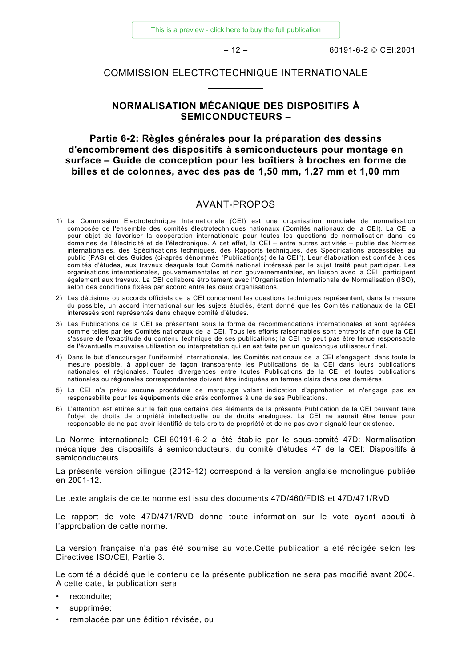$-12 - 60191 - 62 \odot CF12001$ 

#### COMMISSION ELECTROTECHNIQUE INTERNATIONALE *\_\_\_\_\_\_\_\_\_\_\_*

#### **NORMALISATION MÉCANIQUE DES DISPOSITIFS À SEMICONDUCTEURS –**

**Partie 6-2: Règles générales pour la préparation des dessins d'encombrement des dispositifs à semiconducteurs pour montage en surface – Guide de conception pour les boîtiers à broches en forme de billes et de colonnes, avec des pas de 1,50 mm, 1,27 mm et 1,00 mm**

#### AVANT-PROPOS

- 1) La Commission Electrotechnique Internationale (CEI) est une organisation mondiale de normalisation composée de l'ensemble des comités électrotechniques nationaux (Comités nationaux de la CEI). La CEI a pour objet de favoriser la coopération internationale pour toutes les questions de normalisation dans les domaines de l'électricité et de l'électronique. A cet effet, la CEI – entre autres activités – publie des Normes internationales, des Spécifications techniques, des Rapports techniques, des Spécifications accessibles au public (PAS) et des Guides (ci-après dénommés "Publication(s) de la CEI"). Leur élaboration est confiée à des comités d'études, aux travaux desquels tout Comité national intéressé par le sujet traité peut participer. Les organisations internationales, gouvernementales et non gouvernementales, en liaison avec la CEI, participent également aux travaux. La CEI collabore étroitement avec l'Organisation Internationale de Normalisation (ISO), selon des conditions fixées par accord entre les deux organisations.
- 2) Les décisions ou accords officiels de la CEI concernant les questions techniques représentent, dans la mesure du possible, un accord international sur les sujets étudiés, étant donné que les Comités nationaux de la CEI intéressés sont représentés dans chaque comité d'études.
- 3) Les Publications de la CEI se présentent sous la forme de recommandations internationales et sont agréées comme telles par les Comités nationaux de la CEI. Tous les efforts raisonnables sont entrepris afin que la CEI s'assure de l'exactitude du contenu technique de ses publications; la CEI ne peut pas être tenue responsable de l'éventuelle mauvaise utilisation ou interprétation qui en est faite par un quelconque utilisateur final.
- 4) Dans le but d'encourager l'uniformité internationale, les Comités nationaux de la CEI s'engagent, dans toute la mesure possible, à appliquer de façon transparente les Publications de la CEI dans leurs publications nationales et régionales. Toutes divergences entre toutes Publications de la CEI et toutes publications nationales ou régionales correspondantes doivent être indiquées en termes clairs dans ces dernières.
- 5) La CEI n'a prévu aucune procédure de marquage valant indication d'approbation et n'engage pas sa responsabilité pour les équipements déclarés conformes à une de ses Publications.
- 6) L'attention est attirée sur le fait que certains des éléments de la présente Publication de la CEI peuvent faire l'objet de droits de propriété intellectuelle ou de droits analogues. La CEI ne saurait être tenue pour responsable de ne pas avoir identifié de tels droits de propriété et de ne pas avoir signalé leur existence.

La Norme internationale CEI 60191-6-2 a été établie par le sous-comité 47D: Normalisation mécanique des dispositifs à semiconducteurs, du comité d'études 47 de la CEI: Dispositifs à semiconducteurs.

La présente version bilingue (2012-12) correspond à la version anglaise monolingue publiée en 2001-12.

Le texte anglais de cette norme est issu des documents 47D/460/FDIS et 47D/471/RVD.

Le rapport de vote 47D/471/RVD donne toute information sur le vote ayant abouti à l'approbation de cette norme.

La version française n'a pas été soumise au vote.Cette publication a été rédigée selon les Directives ISO/CEI, Partie 3.

Le comité a décidé que le contenu de la présente publication ne sera pas modifié avant 2004. A cette date, la publication sera

- reconduite:
- supprimée;
- remplacée par une édition révisée, ou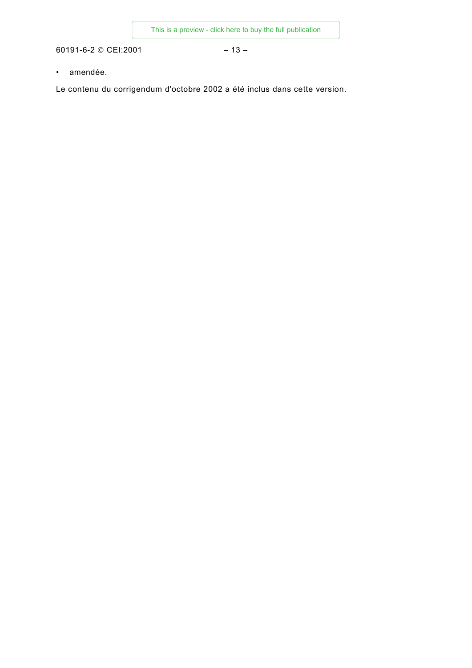60191-6-2 © CEI:2001 - 13 -

• amendée.

Le contenu du corrigendum d'octobre 2002 a été inclus dans cette version.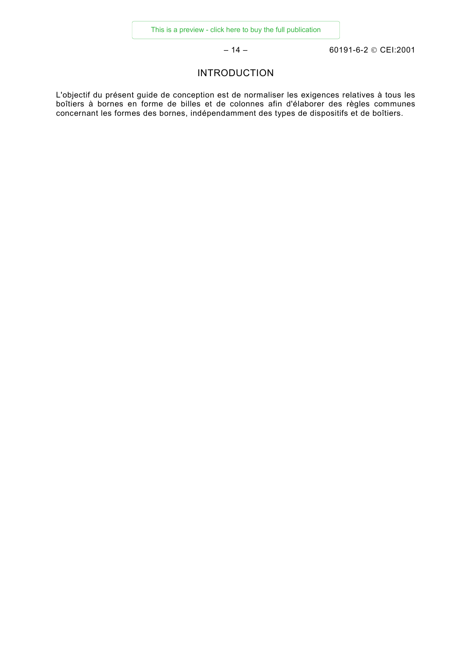$-14 - 60191 - 62 \odot \text{CE}$ 

#### INTRODUCTION

L'objectif du présent guide de conception est de normaliser les exigences relatives à tous les boîtiers à bornes en forme de billes et de colonnes afin d'élaborer des règles communes concernant les formes des bornes, indépendamment des types de dispositifs et de boîtiers.